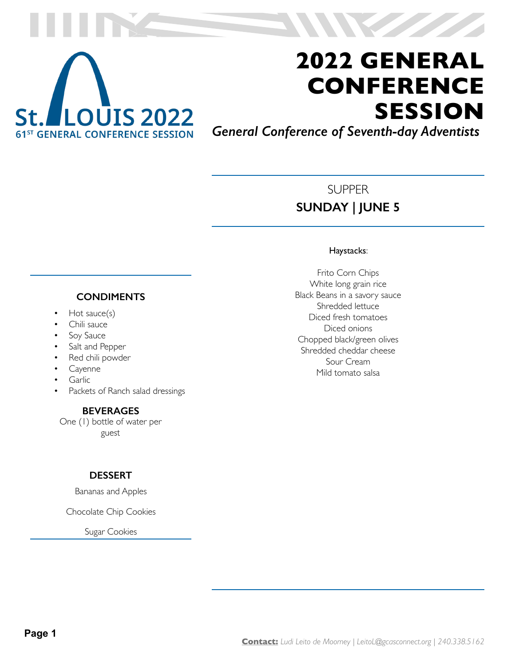

*General Conference of Seventh-day Adventists*

### SUPPER **SUNDAY | JUNE 5**

#### Haystacks:

Frito Corn Chips White long grain rice Black Beans in a savory sauce Shredded lettuce Diced fresh tomatoes Diced onions Chopped black/green olives Shredded cheddar cheese Sour Cream Mild tomato salsa

#### **CONDIMENTS**

- Hot sauce(s)
- Chili sauce
- Soy Sauce
- Salt and Pepper
- Red chili powder
- **Cayenne**
- **Garlic**
- Packets of Ranch salad dressings

#### **BEVERAGES**

One (1) bottle of water per guest

#### **DESSERT**

Bananas and Apples

Chocolate Chip Cookies

Sugar Cookies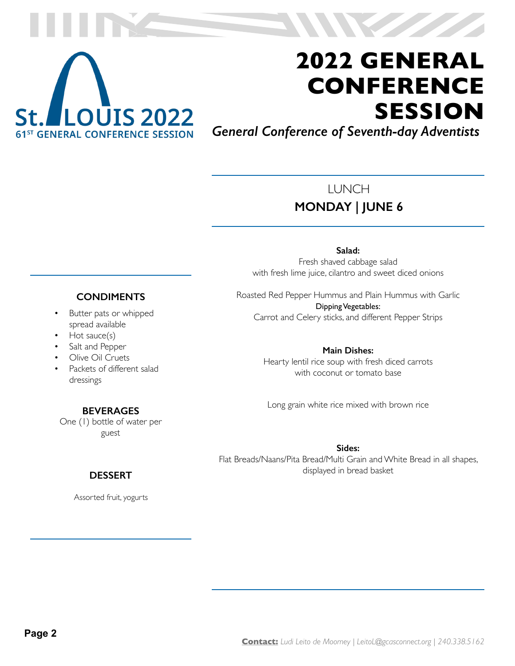

*General Conference of Seventh-day Adventists*

### LUNCH **MONDAY | JUNE 6**

**Salad:** Fresh shaved cabbage salad with fresh lime juice, cilantro and sweet diced onions

Roasted Red Pepper Hummus and Plain Hummus with Garlic Dipping Vegetables: Carrot and Celery sticks, and different Pepper Strips

> **Main Dishes:** Hearty lentil rice soup with fresh diced carrots with coconut or tomato base

Long grain white rice mixed with brown rice

**Sides:** Flat Breads/Naans/Pita Bread/Multi Grain and White Bread in all shapes, displayed in bread basket

#### **CONDIMENTS**

- Butter pats or whipped spread available
- Hot sauce(s)
- Salt and Pepper
- Olive Oil Cruets
- Packets of different salad dressings

#### **BEVERAGES**

One (1) bottle of water per guest

#### **DESSERT**

Assorted fruit, yogurts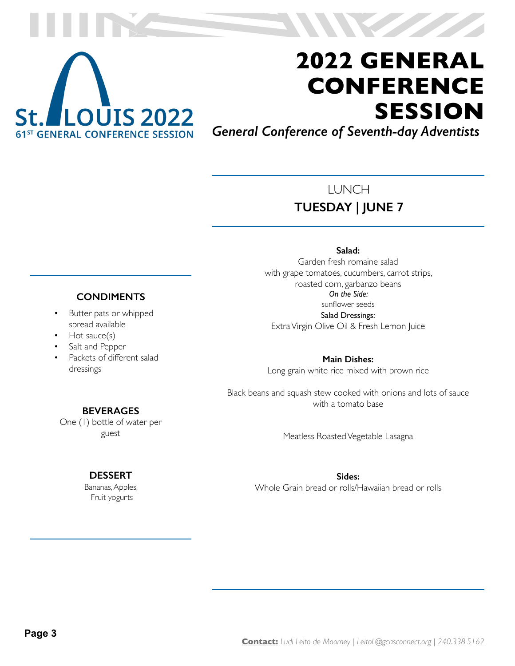

*General Conference of Seventh-day Adventists*

### LUNCH **TUESDAY | JUNE 7**

#### **Salad:**

Garden fresh romaine salad with grape tomatoes, cucumbers, carrot strips, roasted corn, garbanzo beans *On the Side:* sunflower seeds Salad Dressings:

Extra Virgin Olive Oil & Fresh Lemon Juice

**Main Dishes:** Long grain white rice mixed with brown rice

Black beans and squash stew cooked with onions and lots of sauce with a tomato base

Meatless Roasted Vegetable Lasagna

**Sides:** Whole Grain bread or rolls/Hawaiian bread or rolls

#### **CONDIMENTS**

- Butter pats or whipped spread available
- Hot sauce(s)
- Salt and Pepper
- Packets of different salad dressings

#### **BEVERAGES**

One (1) bottle of water per guest

#### **DESSERT**

Bananas, Apples, Fruit yogurts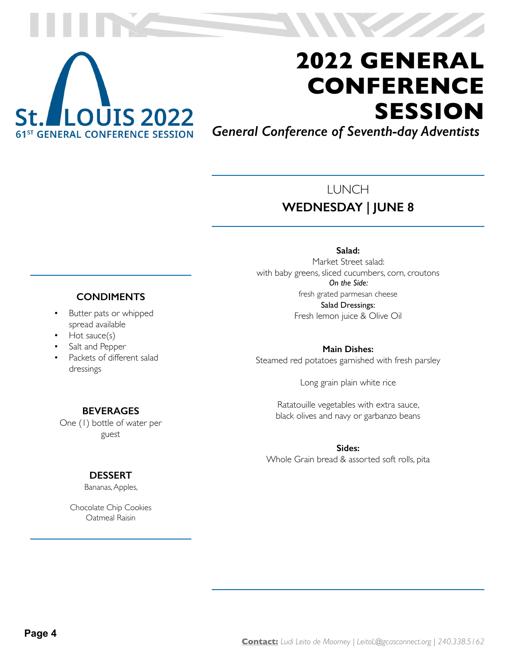

*General Conference of Seventh-day Adventists*

### LUNCH **WEDNESDAY | JUNE 8**

## **CONDIMENTS**

- Butter pats or whipped spread available
- Hot sauce(s)
- Salt and Pepper
- Packets of different salad dressings

## **Salad:**

Market Street salad: with baby greens, sliced cucumbers, corn, croutons *On the Side:* fresh grated parmesan cheese Salad Dressings: Fresh lemon juice & Olive Oil

**Main Dishes:** Steamed red potatoes garnished with fresh parsley

Long grain plain white rice

Ratatouille vegetables with extra sauce, black olives and navy or garbanzo beans

**Sides:** Whole Grain bread & assorted soft rolls, pita

#### One (1) bottle of water per guest

**BEVERAGES**

#### **DESSERT**

Bananas, Apples,

Chocolate Chip Cookies Oatmeal Raisin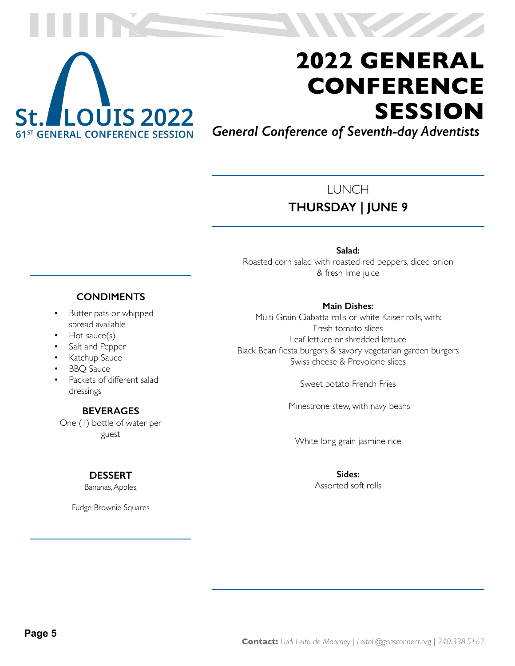

*General Conference of Seventh-day Adventists*

### LUNCH **THURSDAY | JUNE 9**

**Salad:**  Roasted corn salad with roasted red peppers, diced onion & fresh lime juice

#### **Main Dishes:**

Multi Grain Ciabatta rolls or white Kaiser rolls, with: Fresh tomato slices Leaf lettuce or shredded lettuce Black Bean fiesta burgers & savory vegetarian garden burgers Swiss cheese & Provolone slices

Sweet potato French Fries

Minestrone stew, with navy beans

White long grain jasmine rice

**Sides:** Assorted soft rolls

#### **CONDIMENTS**

- Butter pats or whipped spread available
- Hot sauce(s)
- Salt and Pepper
- Katchup Sauce
- BBQ Sauce
- Packets of different salad dressings

#### **BEVERAGES**

One (1) bottle of water per guest

#### **DESSERT**

Bananas, Apples,

Fudge Brownie Squares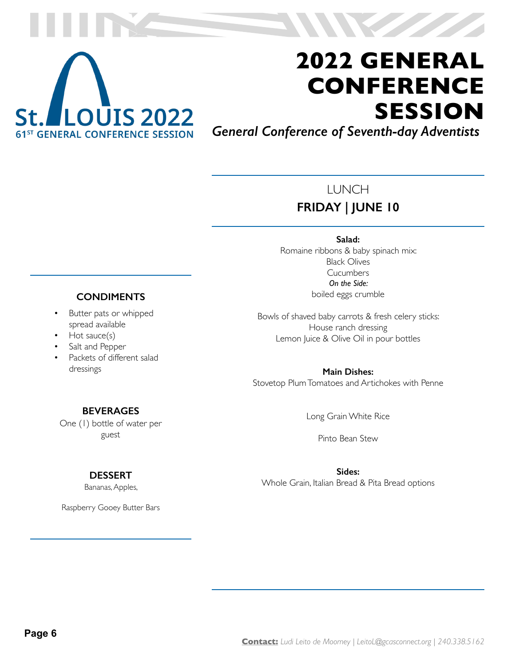

*General Conference of Seventh-day Adventists*

### LUNCH **FRIDAY | JUNE 10**

**Salad:**  Romaine ribbons & baby spinach mix: Black Olives **Cucumbers** *On the Side:* boiled eggs crumble

Bowls of shaved baby carrots & fresh celery sticks: House ranch dressing Lemon Juice & Olive Oil in pour bottles

**Main Dishes:** Stovetop Plum Tomatoes and Artichokes with Penne

Long Grain White Rice

Pinto Bean Stew

**Sides:** Whole Grain, Italian Bread & Pita Bread options

#### **CONDIMENTS**

- Butter pats or whipped spread available
- Hot sauce(s)
- Salt and Pepper
- Packets of different salad dressings

#### **BEVERAGES**

One (1) bottle of water per guest

#### **DESSERT**

Bananas, Apples,

Raspberry Gooey Butter Bars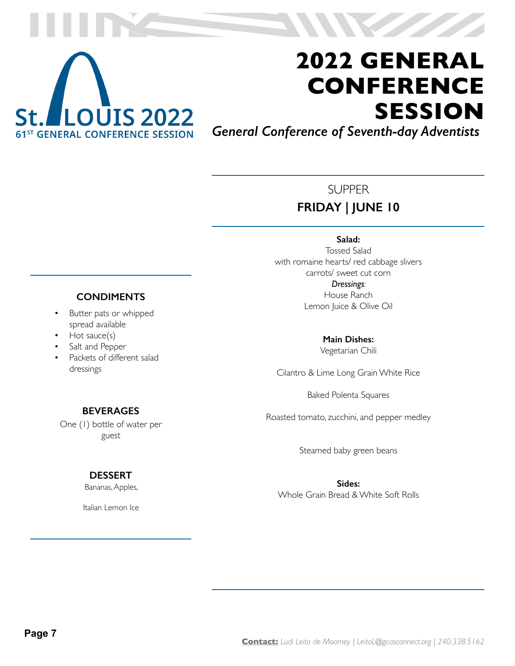

*General Conference of Seventh-day Adventists*

### **SUPPER FRIDAY | JUNE 10**

**Salad:**  Tossed Salad with romaine hearts/ red cabbage slivers carrots/ sweet cut corn *Dressings:* House Ranch Lemon Juice & Olive Oil

> **Main Dishes:** Vegetarian Chili

Cilantro & Lime Long Grain White Rice

Baked Polenta Squares

Roasted tomato, zucchini, and pepper medley

Steamed baby green beans

**Sides:** Whole Grain Bread & White Soft Rolls

#### **CONDIMENTS**

- Butter pats or whipped spread available
- Hot sauce(s)
- Salt and Pepper
- Packets of different salad dressings

#### **BEVERAGES**

One (1) bottle of water per guest

#### **DESSERT**

Bananas, Apples,

Italian Lemon Ice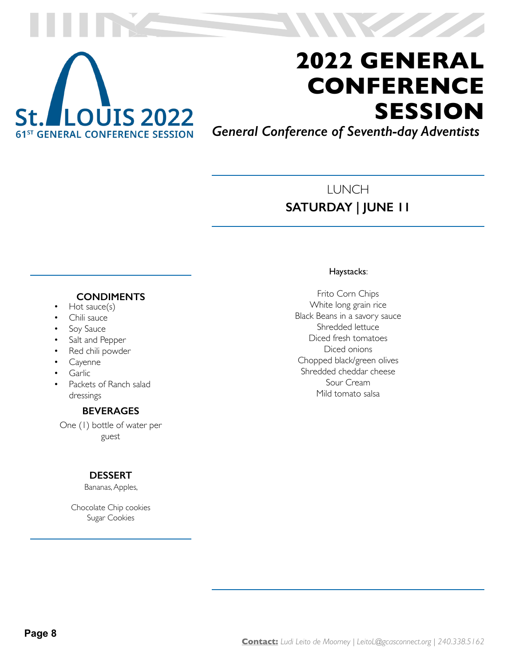

*General Conference of Seventh-day Adventists*

### LUNCH **SATURDAY | JUNE 11**

#### **CONDIMENTS**

- Hot sauce(s)
- Chili sauce
- Soy Sauce
- Salt and Pepper
- Red chili powder
- **Cayenne**
- Garlic
- Packets of Ranch salad dressings

#### **BEVERAGES**

One (1) bottle of water per guest

#### **DESSERT**

Bananas, Apples,

Chocolate Chip cookies Sugar Cookies

#### Haystacks:

Frito Corn Chips White long grain rice Black Beans in a savory sauce Shredded lettuce Diced fresh tomatoes Diced onions Chopped black/green olives Shredded cheddar cheese Sour Cream Mild tomato salsa